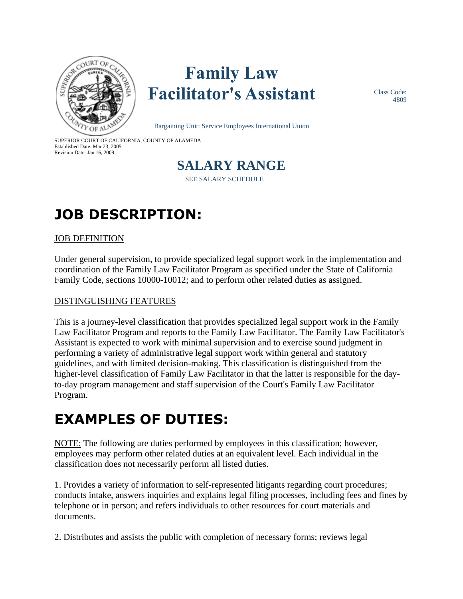

# **Family Law Facilitator's Assistant**

Class Code: 4809

Bargaining Unit: Service Employees International Union

SUPERIOR COURT OF CALIFORNIA, COUNTY OF ALAMEDA Established Date: Mar 23, 2005 Revision Date: Jan 16, 2009



## **JOB DESCRIPTION:**

#### JOB DEFINITION

Under general supervision, to provide specialized legal support work in the implementation and coordination of the Family Law Facilitator Program as specified under the State of California Family Code, sections 10000-10012; and to perform other related duties as assigned.

#### DISTINGUISHING FEATURES

This is a journey-level classification that provides specialized legal support work in the Family Law Facilitator Program and reports to the Family Law Facilitator. The Family Law Facilitator's Assistant is expected to work with minimal supervision and to exercise sound judgment in performing a variety of administrative legal support work within general and statutory guidelines, and with limited decision-making. This classification is distinguished from the higher-level classification of Family Law Facilitator in that the latter is responsible for the dayto-day program management and staff supervision of the Court's Family Law Facilitator Program.

### **EXAMPLES OF DUTIES:**

NOTE: The following are duties performed by employees in this classification; however, employees may perform other related duties at an equivalent level. Each individual in the classification does not necessarily perform all listed duties.

1. Provides a variety of information to self-represented litigants regarding court procedures; conducts intake, answers inquiries and explains legal filing processes, including fees and fines by telephone or in person; and refers individuals to other resources for court materials and documents.

2. Distributes and assists the public with completion of necessary forms; reviews legal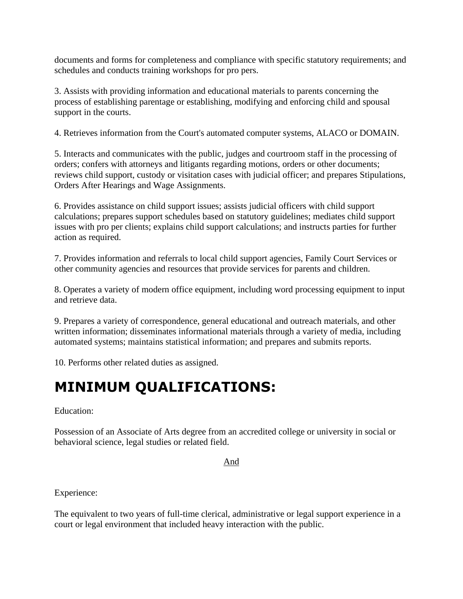documents and forms for completeness and compliance with specific statutory requirements; and schedules and conducts training workshops for pro pers.

3. Assists with providing information and educational materials to parents concerning the process of establishing parentage or establishing, modifying and enforcing child and spousal support in the courts.

4. Retrieves information from the Court's automated computer systems, ALACO or DOMAIN.

5. Interacts and communicates with the public, judges and courtroom staff in the processing of orders; confers with attorneys and litigants regarding motions, orders or other documents; reviews child support, custody or visitation cases with judicial officer; and prepares Stipulations, Orders After Hearings and Wage Assignments.

6. Provides assistance on child support issues; assists judicial officers with child support calculations; prepares support schedules based on statutory guidelines; mediates child support issues with pro per clients; explains child support calculations; and instructs parties for further action as required.

7. Provides information and referrals to local child support agencies, Family Court Services or other community agencies and resources that provide services for parents and children.

8. Operates a variety of modern office equipment, including word processing equipment to input and retrieve data.

9. Prepares a variety of correspondence, general educational and outreach materials, and other written information; disseminates informational materials through a variety of media, including automated systems; maintains statistical information; and prepares and submits reports.

10. Performs other related duties as assigned.

### **MINIMUM QUALIFICATIONS:**

Education:

Possession of an Associate of Arts degree from an accredited college or university in social or behavioral science, legal studies or related field.

And

Experience:

The equivalent to two years of full-time clerical, administrative or legal support experience in a court or legal environment that included heavy interaction with the public.